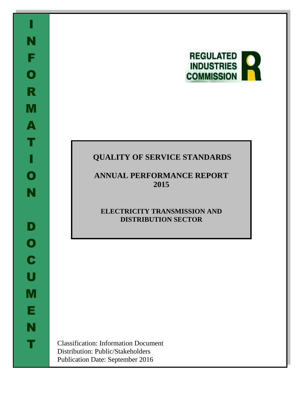

# **QUALITY OF SERVICE STANDARDS**

**ANNUAL PERFORMANCE REPORT 2015**

# **ELECTRICITY TRANSMISSION AND DISTRIBUTION SECTOR**

Classification: Information Document Distribution: Public/Stakeholders Publication Date: September 2016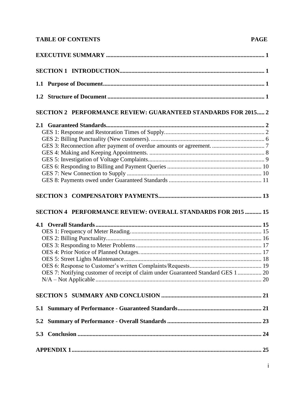# **TABLE OF CONTENTS**

| <b>SECTION 2 PERFORMANCE REVIEW: GUARANTEED STANDARDS FOR 2015 2</b>             |  |
|----------------------------------------------------------------------------------|--|
|                                                                                  |  |
|                                                                                  |  |
|                                                                                  |  |
|                                                                                  |  |
|                                                                                  |  |
|                                                                                  |  |
|                                                                                  |  |
|                                                                                  |  |
|                                                                                  |  |
|                                                                                  |  |
| <b>SECTION 4 PERFORMANCE REVIEW: OVERALL STANDARDS FOR 2015  15</b>              |  |
|                                                                                  |  |
|                                                                                  |  |
|                                                                                  |  |
|                                                                                  |  |
|                                                                                  |  |
|                                                                                  |  |
|                                                                                  |  |
| OES 7: Notifying customer of receipt of claim under Guaranteed Standard GES 1 20 |  |
|                                                                                  |  |
|                                                                                  |  |
|                                                                                  |  |
|                                                                                  |  |
|                                                                                  |  |
|                                                                                  |  |
|                                                                                  |  |
|                                                                                  |  |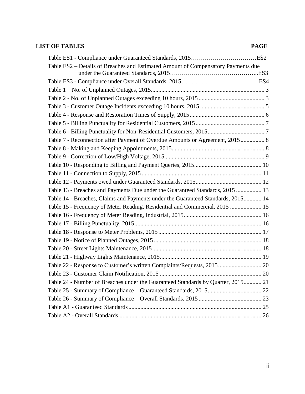## **LIST OF TABLES PAGE**

| Table ES2 – Details of Breaches and Estimated Amount of Compensatory Payments due |  |
|-----------------------------------------------------------------------------------|--|
|                                                                                   |  |
|                                                                                   |  |
|                                                                                   |  |
|                                                                                   |  |
|                                                                                   |  |
|                                                                                   |  |
|                                                                                   |  |
|                                                                                   |  |
| Table 7 - Reconnection after Payment of Overdue Amounts or Agreement, 2015 8      |  |
|                                                                                   |  |
|                                                                                   |  |
|                                                                                   |  |
|                                                                                   |  |
|                                                                                   |  |
| Table 13 - Breaches and Payments Due under the Guaranteed Standards, 2015  13     |  |
| Table 14 - Breaches, Claims and Payments under the Guaranteed Standards, 2015 14  |  |
| Table 15 - Frequency of Meter Reading, Residential and Commercial, 2015  15       |  |
|                                                                                   |  |
|                                                                                   |  |
|                                                                                   |  |
|                                                                                   |  |
|                                                                                   |  |
|                                                                                   |  |
| Table 22 - Response to Customer's written Complaints/Requests, 2015 20            |  |
|                                                                                   |  |
| Table 24 - Number of Breaches under the Guaranteed Standards by Quarter, 2015 21  |  |
|                                                                                   |  |
|                                                                                   |  |
|                                                                                   |  |
|                                                                                   |  |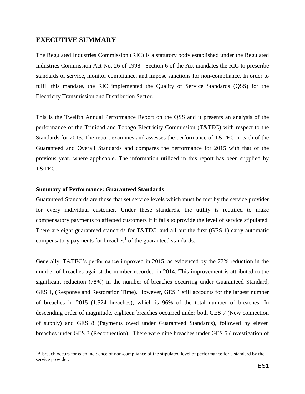### <span id="page-4-0"></span>**EXECUTIVE SUMMARY**

The Regulated Industries Commission (RIC) is a statutory body established under the Regulated Industries Commission Act No. 26 of 1998. Section 6 of the Act mandates the RIC to prescribe standards of service, monitor compliance, and impose sanctions for non-compliance. In order to fulfil this mandate, the RIC implemented the Quality of Service Standards (QSS) for the Electricity Transmission and Distribution Sector.

This is the Twelfth Annual Performance Report on the QSS and it presents an analysis of the performance of the Trinidad and Tobago Electricity Commission (T&TEC) with respect to the Standards for 2015. The report examines and assesses the performance of T&TEC in each of the Guaranteed and Overall Standards and compares the performance for 2015 with that of the previous year, where applicable. The information utilized in this report has been supplied by T&TEC.

#### **Summary of Performance: Guaranteed Standards**

 $\overline{a}$ 

Guaranteed Standards are those that set service levels which must be met by the service provider for every individual customer. Under these standards, the utility is required to make compensatory payments to affected customers if it fails to provide the level of service stipulated. There are eight guaranteed standards for T&TEC, and all but the first (GES 1) carry automatic compensatory payments for breaches $<sup>1</sup>$  of the guaranteed standards.</sup>

Generally, T&TEC's performance improved in 2015, as evidenced by the 77% reduction in the number of breaches against the number recorded in 2014. This improvement is attributed to the significant reduction (78%) in the number of breaches occurring under Guaranteed Standard, GES 1, (Response and Restoration Time). However, GES 1 still accounts for the largest number of breaches in 2015 (1,524 breaches), which is 96% of the total number of breaches. In descending order of magnitude, eighteen breaches occurred under both GES 7 (New connection of supply) and GES 8 (Payments owed under Guaranteed Standards), followed by eleven breaches under GES 3 (Reconnection). There were nine breaches under GES 5 (Investigation of

<sup>&</sup>lt;sup>1</sup>A breach occurs for each incidence of non-compliance of the stipulated level of performance for a standard by the service provider.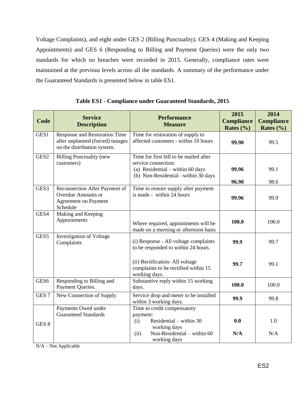Voltage Complaints), and eight under GES 2 (Billing Punctuality). GES 4 (Making and Keeping Appointments) and GES 6 (Responding to Billing and Payment Queries) were the only two standards for which no breaches were recorded in 2015. Generally, compliance rates were maintained at the previous levels across all the standards. A summary of the performance under the Guaranteed Standards is presented below in table ES1.

<span id="page-5-0"></span>

| Code             | <b>Service</b><br><b>Description</b>                                                                  | <b>Performance</b><br><b>Measure</b>                                                                                                     | 2015<br><b>Compliance</b><br>Rates $(\% )$ | 2014<br><b>Compliance</b><br>Rates $(\% )$ |
|------------------|-------------------------------------------------------------------------------------------------------|------------------------------------------------------------------------------------------------------------------------------------------|--------------------------------------------|--------------------------------------------|
| GES1             | Response and Restoration Time<br>after unplanned (forced) outages<br>on the distribution system.      | Time for restoration of supply to<br>affected customers - within 10 hours                                                                | 99.90                                      | 99.5                                       |
| GES <sub>2</sub> | <b>Billing Punctuality (new</b><br>customers)                                                         | Time for first bill to be mailed after<br>service connection:<br>(a) Residential – within 60 days<br>(b) Non-Residential -within 30 days | 99.96<br>96.90                             | 99.1<br>98.6                               |
| GES3             | Reconnection After Payment of<br><b>Overdue Amounts or</b><br><b>Agreement on Payment</b><br>Schedule | Time to restore supply after payment<br>is made - within 24 hours                                                                        | 99.96                                      | 99.9                                       |
| GES4             | Making and Keeping<br>Appointments                                                                    | Where required, appointments will be<br>made on a morning or afternoon basis                                                             | 100.0                                      | 100.0                                      |
| GES5             | <b>Investigation of Voltage</b><br>Complaints                                                         | (i) Response - All voltage complaints<br>to be responded to within 24 hours.                                                             | 99.9                                       | 99.7                                       |
|                  |                                                                                                       | (ii) Rectification- All voltage<br>complaints to be rectified within 15<br>working days.                                                 | 99.7                                       | 99.1                                       |
| GES <sub>6</sub> | Responding to Billing and<br>Payment Queries.                                                         | Substantive reply within 15 working<br>days.                                                                                             | 100.0                                      | 100.0                                      |
| GES <sub>7</sub> | New Connection of Supply                                                                              | Service drop and meter to be installed<br>within 3 working days.                                                                         | 99.9                                       | 99.8                                       |
|                  | Payments Owed under<br><b>Guaranteed Standards</b>                                                    | Time to credit compensatory<br>payment:                                                                                                  |                                            |                                            |
| GES <sub>8</sub> |                                                                                                       | Residential – within $30$<br>(i)<br>working days                                                                                         | 0.0                                        | 1.0                                        |
|                  |                                                                                                       | Non-Residential – within 60<br>(ii)<br>working days                                                                                      | N/A                                        | N/A                                        |

**Table ES1 - Compliance under Guaranteed Standards, 2015**

 $N/A - Not Applicable$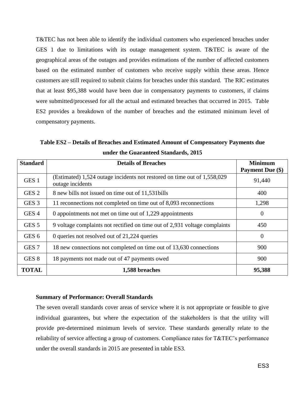T&TEC has not been able to identify the individual customers who experienced breaches under GES 1 due to limitations with its outage management system. T&TEC is aware of the geographical areas of the outages and provides estimations of the number of affected customers based on the estimated number of customers who receive supply within these areas. Hence customers are still required to submit claims for breaches under this standard. The RIC estimates that at least \$95,388 would have been due in compensatory payments to customers, if claims were submitted/processed for all the actual and estimated breaches that occurred in 2015. Table ES2 provides a breakdown of the number of breaches and the estimated minimum level of compensatory payments.

<span id="page-6-0"></span>**Table ES2 – Details of Breaches and Estimated Amount of Compensatory Payments due under the Guaranteed Standards, 2015**

| <b>Standard</b>  | <b>Details of Breaches</b>                                                                   | <b>Minimum</b>   |
|------------------|----------------------------------------------------------------------------------------------|------------------|
|                  |                                                                                              | Payment Due (\$) |
| GES <sub>1</sub> | (Estimated) 1,524 outage incidents not restored on time out of 1,558,029<br>outage incidents | 91,440           |
| GES <sub>2</sub> | 8 new bills not issued on time out of 11,531 bills                                           | 400              |
| GES <sub>3</sub> | 11 reconnections not completed on time out of 8,093 reconnections                            | 1,298            |
| GES <sub>4</sub> | 0 appointments not met on time out of 1,229 appointments                                     | $\theta$         |
| GES <sub>5</sub> | 9 voltage complaints not rectified on time out of 2,931 voltage complaints                   | 450              |
| GES <sub>6</sub> | 0 queries not resolved out of 21,224 queries                                                 | $\theta$         |
| GES <sub>7</sub> | 18 new connections not completed on time out of 13,630 connections                           | 900              |
| GES 8            | 18 payments not made out of 47 payments owed                                                 | 900              |
| <b>TOTAL</b>     | 1,588 breaches                                                                               | 95,388           |

#### **Summary of Performance: Overall Standards**

The seven overall standards cover areas of service where it is not appropriate or feasible to give individual guarantees, but where the expectation of the stakeholders is that the utility will provide pre-determined minimum levels of service. These standards generally relate to the reliability of service affecting a group of customers. Compliance rates for T&TEC's performance under the overall standards in 2015 are presented in table ES3.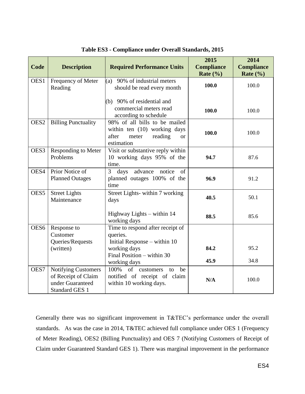<span id="page-7-0"></span>

|                  |                                                                                                |                                                                                                                       | 2015              | 2014              |
|------------------|------------------------------------------------------------------------------------------------|-----------------------------------------------------------------------------------------------------------------------|-------------------|-------------------|
| Code             | <b>Description</b>                                                                             | <b>Required Performance Units</b>                                                                                     | <b>Compliance</b> | <b>Compliance</b> |
|                  |                                                                                                |                                                                                                                       | Rate $(\% )$      | Rate $(\% )$      |
| OES1             | Frequency of Meter<br>Reading                                                                  | 90% of industrial meters<br>(a)<br>should be read every month                                                         | 100.0             | 100.0             |
|                  |                                                                                                | (b) 90% of residential and<br>commercial meters read<br>according to schedule                                         | 100.0             | 100.0             |
| OES <sub>2</sub> | <b>Billing Punctuality</b>                                                                     | 98% of all bills to be mailed<br>within ten (10) working days<br>after<br>meter<br>reading<br><b>or</b><br>estimation | 100.0             | 100.0             |
| OES3             | Responding to Meter<br>Problems                                                                | Visit or substantive reply within<br>10 working days 95% of the<br>time.                                              | 94.7              | 87.6              |
| OES4             | Prior Notice of<br><b>Planned Outages</b>                                                      | 3<br>advance<br>days<br>notice<br>of<br>planned outages 100% of the<br>time                                           | 96.9              | 91.2              |
| OES <sub>5</sub> | <b>Street Lights</b><br>Maintenance                                                            | Street Lights- within 7 working<br>days                                                                               | 40.5              | 50.1              |
|                  |                                                                                                | Highway Lights – within 14<br>working days                                                                            | 88.5              | 85.6              |
| OES <sub>6</sub> | Response to<br>Customer<br>Queries/Requests                                                    | Time to respond after receipt of<br>queries.<br>Initial Response – within 10                                          |                   |                   |
|                  | (written)                                                                                      | working days                                                                                                          | 84.2              | 95.2              |
|                  |                                                                                                | Final Position - within 30<br>working days                                                                            | 45.9              | 34.8              |
| OES7             | <b>Notifying Customers</b><br>of Receipt of Claim<br>under Guaranteed<br><b>Standard GES 1</b> | 100%<br>of<br>customers<br>be<br>to<br>notified of receipt of claim<br>within 10 working days.                        | N/A               | 100.0             |

|  |  |  | Table ES3 - Compliance under Overall Standards, 2015 |
|--|--|--|------------------------------------------------------|
|--|--|--|------------------------------------------------------|

Generally there was no significant improvement in T&TEC's performance under the overall standards. As was the case in 2014, T&TEC achieved full compliance under OES 1 (Frequency of Meter Reading), OES2 (Billing Punctuality) and OES 7 (Notifying Customers of Receipt of Claim under Guaranteed Standard GES 1). There was marginal improvement in the performance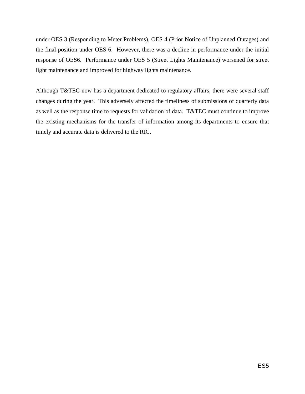under OES 3 (Responding to Meter Problems), OES 4 (Prior Notice of Unplanned Outages) and the final position under OES 6. However, there was a decline in performance under the initial response of OES6. Performance under OES 5 (Street Lights Maintenance) worsened for street light maintenance and improved for highway lights maintenance.

Although T&TEC now has a department dedicated to regulatory affairs, there were several staff changes during the year. This adversely affected the timeliness of submissions of quarterly data as well as the response time to requests for validation of data. T&TEC must continue to improve the existing mechanisms for the transfer of information among its departments to ensure that timely and accurate data is delivered to the RIC.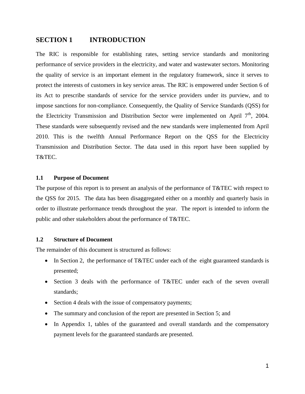## <span id="page-9-0"></span>**SECTION 1 INTRODUCTION**

The RIC is responsible for establishing rates, setting service standards and monitoring performance of service providers in the electricity, and water and wastewater sectors. Monitoring the quality of service is an important element in the regulatory framework, since it serves to protect the interests of customers in key service areas. The RIC is empowered under Section 6 of its Act to prescribe standards of service for the service providers under its purview, and to impose sanctions for non-compliance. Consequently, the Quality of Service Standards (QSS) for the Electricity Transmission and Distribution Sector were implemented on April  $7<sup>th</sup>$ , 2004. These standards were subsequently revised and the new standards were implemented from April 2010. This is the twelfth Annual Performance Report on the QSS for the Electricity Transmission and Distribution Sector. The data used in this report have been supplied by T&TEC.

#### <span id="page-9-1"></span>**1.1 Purpose of Document**

The purpose of this report is to present an analysis of the performance of T&TEC with respect to the QSS for 2015. The data has been disaggregated either on a monthly and quarterly basis in order to illustrate performance trends throughout the year. The report is intended to inform the public and other stakeholders about the performance of T&TEC.

#### <span id="page-9-2"></span>**1.2 Structure of Document**

The remainder of this document is structured as follows:

- In Section 2, the performance of T&TEC under each of the eight guaranteed standards is presented;
- Section 3 deals with the performance of T&TEC under each of the seven overall standards;
- Section 4 deals with the issue of compensatory payments;
- The summary and conclusion of the report are presented in Section 5; and
- In Appendix 1, tables of the guaranteed and overall standards and the compensatory payment levels for the guaranteed standards are presented.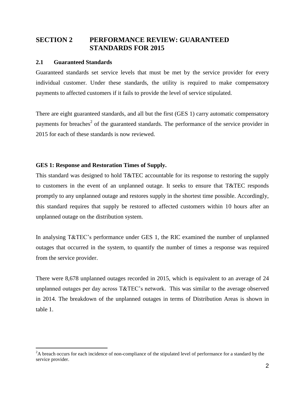# <span id="page-10-0"></span>**SECTION 2 PERFORMANCE REVIEW: GUARANTEED STANDARDS FOR 2015**

#### <span id="page-10-1"></span>**2.1 Guaranteed Standards**

 $\overline{a}$ 

Guaranteed standards set service levels that must be met by the service provider for every individual customer. Under these standards, the utility is required to make compensatory payments to affected customers if it fails to provide the level of service stipulated.

There are eight guaranteed standards, and all but the first (GES 1) carry automatic compensatory payments for breaches<sup>2</sup> of the guaranteed standards. The performance of the service provider in 2015 for each of these standards is now reviewed.

#### <span id="page-10-2"></span>**GES 1: Response and Restoration Times of Supply.**

This standard was designed to hold T&TEC accountable for its response to restoring the supply to customers in the event of an unplanned outage. It seeks to ensure that T&TEC responds promptly to any unplanned outage and restores supply in the shortest time possible. Accordingly, this standard requires that supply be restored to affected customers within 10 hours after an unplanned outage on the distribution system.

In analysing T&TEC's performance under GES 1, the RIC examined the number of unplanned outages that occurred in the system, to quantify the number of times a response was required from the service provider.

There were 8,678 unplanned outages recorded in 2015, which is equivalent to an average of 24 unplanned outages per day across T&TEC's network. This was similar to the average observed in 2014. The breakdown of the unplanned outages in terms of Distribution Areas is shown in table 1.

<sup>&</sup>lt;sup>2</sup>A breach occurs for each incidence of non-compliance of the stipulated level of performance for a standard by the service provider.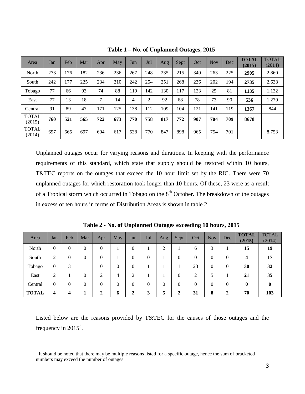<span id="page-11-0"></span>

| Area                   | Jan | Feb | Mar | Apr | May | Jun | Jul            | Aug | Sept | Oct | <b>Nov</b> | Dec | <b>TOTAL</b><br>(2015) | <b>TOTAL</b><br>(2014) |
|------------------------|-----|-----|-----|-----|-----|-----|----------------|-----|------|-----|------------|-----|------------------------|------------------------|
| North                  | 273 | 176 | 182 | 236 | 236 | 267 | 248            | 235 | 215  | 349 | 263        | 225 | 2905                   | 2,860                  |
| South                  | 242 | 177 | 225 | 234 | 210 | 242 | 254            | 251 | 268  | 236 | 202        | 194 | 2735                   | 2,638                  |
| Tobago                 | 77  | 66  | 93  | 74  | 88  | 119 | 142            | 130 | 117  | 123 | 25         | 81  | 1135                   | 1,132                  |
| East                   | 77  | 13  | 18  | 7   | 14  | 4   | $\overline{2}$ | 92  | 68   | 78  | 73         | 90  | 536                    | 1,279                  |
| Central                | 91  | 89  | 47  | 171 | 125 | 138 | 112            | 109 | 104  | 121 | 141        | 119 | 1367                   | 844                    |
| <b>TOTAL</b><br>(2015) | 760 | 521 | 565 | 722 | 673 | 770 | 758            | 817 | 772  | 907 | 704        | 709 | 8678                   |                        |
| <b>TOTAL</b><br>(2014) | 697 | 665 | 697 | 604 | 617 | 538 | 770            | 847 | 898  | 965 | 754        | 701 |                        | 8,753                  |

**Table 1 – No. of Unplanned Outages, 2015**

Unplanned outages occur for varying reasons and durations. In keeping with the performance requirements of this standard, which state that supply should be restored within 10 hours, T&TEC reports on the outages that exceed the 10 hour limit set by the RIC. There were 70 unplanned outages for which restoration took longer than 10 hours. Of these, 23 were as a result of a Tropical storm which occurred in Tobago on the  $8<sup>th</sup>$  October. The breakdown of the outages in excess of ten hours in terms of Distribution Areas is shown in table 2.

<span id="page-11-1"></span>

| Area         | Jan            | Feb      | Mar            | Apr          | May      | Jun            | Jul      | Aug            | Sept           | Oct      | <b>Nov</b>     | Dec      | <b>TOTAL</b><br>(2015) | <b>TOTAL</b><br>(2014) |
|--------------|----------------|----------|----------------|--------------|----------|----------------|----------|----------------|----------------|----------|----------------|----------|------------------------|------------------------|
| North        | $\theta$       | $\theta$ | $\theta$       | $\theta$     |          | 0              |          | 2              |                | 6        | 3              |          | 15                     | 19                     |
| South        | $\overline{2}$ | $\theta$ | 0              | $\theta$     |          | $\overline{0}$ | $\theta$ |                | 0              | 0        | $\overline{0}$ | $\Omega$ | 4                      | 17                     |
| Tobago       | $\theta$       | 3        |                | $\Omega$     | $\theta$ | $\theta$       |          |                |                | 23       | $\theta$       | $\Omega$ | 30                     | 32                     |
| East         | ↑              |          | $\overline{0}$ | 2            | 4        | ◠              |          |                | $\overline{0}$ | ◠        | 5              |          | 21                     | 35                     |
| Central      | $\mathbf{0}$   | $\theta$ | $\theta$       | $\mathbf{0}$ | $\theta$ | $\theta$       | $\Omega$ | $\overline{0}$ | $\Omega$       | $\theta$ | $\theta$       | $\Omega$ | 0                      | $\mathbf{0}$           |
| <b>TOTAL</b> | 4              | 4        |                | $\mathbf{2}$ | 6        | 2              | 3        | 5              | ↑              | 31       | 8              | ↑        | 70                     | 103                    |

**Table 2 - No. of Unplanned Outages exceeding 10 hours, 2015** 

Listed below are the reasons provided by T&TEC for the causes of those outages and the frequency in  $2015^3$ .

 $\overline{a}$ 

 $3$  It should be noted that there may be multiple reasons listed for a specific outage, hence the sum of bracketed numbers may exceed the number of outages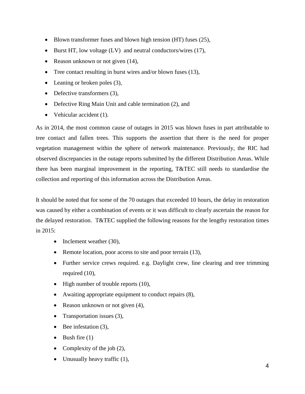- Blown transformer fuses and blown high tension (HT) fuses (25),
- Eurst HT, low voltage  $(LV)$  and neutral conductors/wires (17),
- Reason unknown or not given  $(14)$ ,
- Tree contact resulting in burst wires and/or blown fuses (13),
- Leaning or broken poles (3),
- Defective transformers (3),
- Defective Ring Main Unit and cable termination (2), and
- Vehicular accident (1).

As in 2014, the most common cause of outages in 2015 was blown fuses in part attributable to tree contact and fallen trees. This supports the assertion that there is the need for proper vegetation management within the sphere of network maintenance. Previously, the RIC had observed discrepancies in the outage reports submitted by the different Distribution Areas. While there has been marginal improvement in the reporting, T&TEC still needs to standardise the collection and reporting of this information across the Distribution Areas.

It should be noted that for some of the 70 outages that exceeded 10 hours, the delay in restoration was caused by either a combination of events or it was difficult to clearly ascertain the reason for the delayed restoration. T&TEC supplied the following reasons for the lengthy restoration times in 2015:

- $\bullet$  Inclement weather (30),
- Remote location, poor access to site and poor terrain (13),
- Further service crews required. e.g. Daylight crew, line clearing and tree trimming required (10),
- High number of trouble reports (10),
- Awaiting appropriate equipment to conduct repairs  $(8)$ ,
- Reason unknown or not given (4),
- Transportation issues (3),
- Bee infestation (3),
- $\bullet$  Bush fire  $(1)$
- Complexity of the job  $(2)$ ,
- Unusually heavy traffic  $(1)$ ,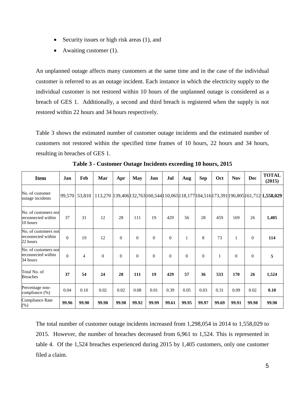- Security issues or high risk areas  $(1)$ , and
- Awaiting customer (1).

An unplanned outage affects many customers at the same time and in the case of the individual customer is referred to as an outage incident. Each instance in which the electricity supply to the individual customer is not restored within 10 hours of the unplanned outage is considered as a breach of GES 1. Additionally, a second and third breach is registered when the supply is not restored within 22 hours and 34 hours respectively.

Table 3 shows the estimated number of customer outage incidents and the estimated number of customers not restored within the specified time frames of 10 hours, 22 hours and 34 hours, resulting in breaches of GES 1.

<span id="page-13-0"></span>

| <b>Item</b>                                            | Jan      | Feb           | Mar      | Apr          | <b>May</b> | Jun            | Jul      | Aug      | <b>Sep</b> | <b>Oct</b> | <b>Nov</b> | Dec          | <b>TOTAL</b><br>(2015)                                                                              |
|--------------------------------------------------------|----------|---------------|----------|--------------|------------|----------------|----------|----------|------------|------------|------------|--------------|-----------------------------------------------------------------------------------------------------|
| No. of customer<br>outage incidents                    |          | 99,570 53,810 |          |              |            |                |          |          |            |            |            |              | 113,270   139,406  132,763  160,544  10,065  118,177  104,516  173,391  190,805  161,712  1,558,029 |
| No. of customers not<br>reconnected within<br>10 hours | 37       | 31            | 12       | 28           | 111        | 19             | 429      | 56       | 28         | 459        | 169        | 26           | 1,405                                                                                               |
| No. of customers not<br>reconnected within<br>22 hours | $\Omega$ | 19            | 12       | $\mathbf{0}$ | $\Omega$   | $\overline{0}$ | $\theta$ | 1        | 8          | 73         | 1          | $\mathbf{0}$ | 114                                                                                                 |
| No. of customers not<br>reconnected within<br>34 hours | $\theta$ | 4             | $\Omega$ | $\Omega$     | $\Omega$   | $\Omega$       | $\Omega$ | $\Omega$ | $\Omega$   | 1          | $\Omega$   | $\Omega$     | 5                                                                                                   |
| Total No. of<br><b>Breaches</b>                        | 37       | 54            | 24       | 28           | 111        | 19             | 429      | 57       | 36         | 533        | 170        | 26           | 1,524                                                                                               |
| Percentage non-<br>compliance (%)                      | 0.04     | 0.10          | 0.02     | 0.02         | 0.08       | 0.01           | 0.39     | 0.05     | 0.03       | 0.31       | 0.09       | 0.02         | 0.10                                                                                                |
| <b>Compliance Rate</b><br>$(\%)$                       | 99.96    | 99.90         | 99.98    | 99.98        | 99.92      | 99.99          | 99.61    | 99.95    | 99.97      | 99.69      | 99.91      | 99.98        | 99.90                                                                                               |

**Table 3 - Customer Outage Incidents exceeding 10 hours, 2015**

The total number of customer outage incidents increased from 1,298,054 in 2014 to 1,558,029 to 2015. However, the number of breaches decreased from 6,961 to 1,524. This is represented in table 4. Of the 1,524 breaches experienced during 2015 by 1,405 customers, only one customer filed a claim.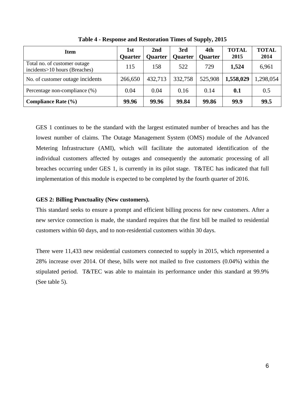<span id="page-14-1"></span>

| <b>Item</b>                                                   | 1st<br><b>Quarter</b> | 2 <sub>nd</sub><br><b>Quarter</b> | 3rd<br>Quarter | 4th<br><b>Quarter</b> | <b>TOTAL</b><br>2015 | <b>TOTAL</b><br>2014 |
|---------------------------------------------------------------|-----------------------|-----------------------------------|----------------|-----------------------|----------------------|----------------------|
| Total no. of customer outage<br>incidents>10 hours (Breaches) | 115                   | 158                               | 522            | 729                   | 1,524                | 6,961                |
| No. of customer outage incidents                              | 266,650               | 432,713                           | 332,758        | 525,908               | 1,558,029            | 1,298,054            |
| Percentage non-compliance (%)                                 | 0.04                  | 0.04                              | 0.16           | 0.14                  | 0.1                  | 0.5                  |
| <b>Compliance Rate (%)</b>                                    | 99.96                 | 99.96                             | 99.84          | 99.86                 | 99.9                 | 99.5                 |

**Table 4 - Response and Restoration Times of Supply, 2015**

GES 1 continues to be the standard with the largest estimated number of breaches and has the lowest number of claims. The Outage Management System (OMS) module of the Advanced Metering Infrastructure (AMI), which will facilitate the automated identification of the individual customers affected by outages and consequently the automatic processing of all breaches occurring under GES 1, is currently in its pilot stage. T&TEC has indicated that full implementation of this module is expected to be completed by the fourth quarter of 2016.

#### <span id="page-14-0"></span>**GES 2: Billing Punctuality (New customers).**

This standard seeks to ensure a prompt and efficient billing process for new customers. After a new service connection is made, the standard requires that the first bill be mailed to residential customers within 60 days, and to non-residential customers within 30 days.

There were 11,433 new residential customers connected to supply in 2015, which represented a 28% increase over 2014. Of these, bills were not mailed to five customers (0.04%) within the stipulated period. T&TEC was able to maintain its performance under this standard at 99.9% (See table 5).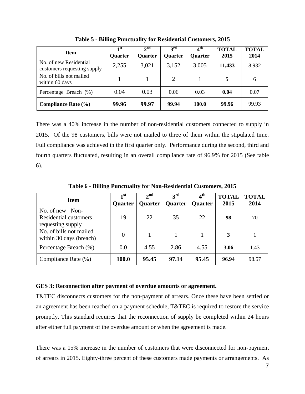<span id="page-15-1"></span>

| <b>Item</b>                                           | 1st<br><b>Quarter</b> | $2^{\text{nd}}$<br><b>Quarter</b> | 3 <sup>rd</sup><br><b>Quarter</b> | $4^{\text{th}}$<br><b>Quarter</b> | <b>TOTAL</b><br>2015 | <b>TOTAL</b><br>2014 |
|-------------------------------------------------------|-----------------------|-----------------------------------|-----------------------------------|-----------------------------------|----------------------|----------------------|
| No. of new Residential<br>customers requesting supply | 2,255                 | 3,021                             | 3,152                             | 3,005                             | 11,433               | 8,932                |
| No. of bills not mailed<br>within 60 days             |                       |                                   | 2                                 |                                   | 5                    | 6                    |
| Percentage Breach (%)                                 | 0.04                  | 0.03                              | 0.06                              | 0.03                              | 0.04                 | 0.07                 |
| <b>Compliance Rate (%)</b>                            | 99.96                 | 99.97                             | 99.94                             | 100.0                             | 99.96                | 99.93                |

**Table 5 - Billing Punctuality for Residential Customers, 2015**

There was a 40% increase in the number of non-residential customers connected to supply in 2015. Of the 98 customers, bills were not mailed to three of them within the stipulated time. Full compliance was achieved in the first quarter only. Performance during the second, third and fourth quarters fluctuated, resulting in an overall compliance rate of 96.9% for 2015 (See table 6).

<span id="page-15-2"></span>

| <b>Item</b>                                                          | 1st<br><b>Quarter</b> | 2 <sup>nd</sup><br><b>Quarter</b> | $3^{\text{rd}}$<br><b>Quarter</b> | $4^{\rm th}$<br><b>Quarter</b> | <b>TOTAL</b><br>2015 | <b>TOTAL</b><br>2014 |
|----------------------------------------------------------------------|-----------------------|-----------------------------------|-----------------------------------|--------------------------------|----------------------|----------------------|
| No. of new Non-<br><b>Residential customers</b><br>requesting supply | 19                    | 22                                | 35                                | 22                             | 98                   | 70                   |
| No. of bills not mailed<br>within 30 days (breach)                   | $\theta$              |                                   |                                   |                                | 3                    |                      |
| Percentage Breach (%)                                                | 0.0                   | 4.55                              | 2.86                              | 4.55                           | 3.06                 | 1.43                 |
| Compliance Rate (%)                                                  | 100.0                 | 95.45                             | 97.14                             | 95.45                          | 96.94                | 98.57                |

**Table 6 - Billing Punctuality for Non-Residential Customers, 2015**

#### <span id="page-15-0"></span>**GES 3: Reconnection after payment of overdue amounts or agreement.**

T&TEC disconnects customers for the non-payment of arrears. Once these have been settled or an agreement has been reached on a payment schedule, T&TEC is required to restore the service promptly. This standard requires that the reconnection of supply be completed within 24 hours after either full payment of the overdue amount or when the agreement is made.

There was a 15% increase in the number of customers that were disconnected for non-payment of arrears in 2015. Eighty-three percent of these customers made payments or arrangements. As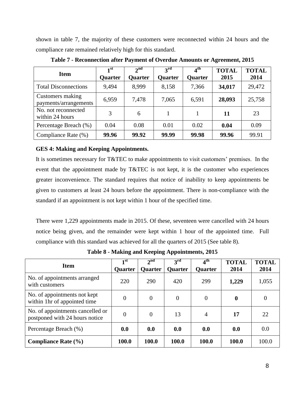shown in table 7, the majority of these customers were reconnected within 24 hours and the compliance rate remained relatively high for this standard.

<span id="page-16-1"></span>

| <b>Item</b>                               | 1 <sup>st</sup><br><b>Quarter</b> | 2 <sup>nd</sup><br><b>Quarter</b> | 3 <sup>rd</sup><br><b>Quarter</b> | $4^{\rm th}$<br>Quarter | <b>TOTAL</b><br>2015 | <b>TOTAL</b><br>2014 |
|-------------------------------------------|-----------------------------------|-----------------------------------|-----------------------------------|-------------------------|----------------------|----------------------|
| <b>Total Disconnections</b>               | 9,494                             | 8,999                             | 8,158                             | 7,366                   | 34,017               | 29,472               |
| Customers making<br>payments/arrangements | 6,959                             | 7,478                             | 7,065                             | 6,591                   | 28,093               | 25,758               |
| No. not reconnected<br>within 24 hours    | 3                                 | 6                                 |                                   |                         | 11                   | 23                   |
| Percentage Breach (%)                     | 0.04                              | 0.08                              | 0.01                              | 0.02                    | 0.04                 | 0.09                 |
| Compliance Rate (%)                       | 99.96                             | 99.92                             | 99.99                             | 99.98                   | 99.96                | 99.91                |

**Table 7 - Reconnection after Payment of Overdue Amounts or Agreement, 2015**

### <span id="page-16-0"></span>**GES 4: Making and Keeping Appointments.**

It is sometimes necessary for T&TEC to make appointments to visit customers' premises. In the event that the appointment made by T&TEC is not kept, it is the customer who experiences greater inconvenience. The standard requires that notice of inability to keep appointments be given to customers at least 24 hours before the appointment. There is non-compliance with the standard if an appointment is not kept within 1 hour of the specified time.

There were 1,229 appointments made in 2015. Of these, seventeen were cancelled with 24 hours notice being given, and the remainder were kept within 1 hour of the appointed time. Full compliance with this standard was achieved for all the quarters of 2015 (See table 8).

<span id="page-16-2"></span>

| <b>Item</b>                                                        | 1 <sup>st</sup><br><b>Quarter</b> | 2 <sup>nd</sup><br><b>Quarter</b> | $3^{\rm rd}$<br><b>Quarter</b> | $4^{\rm th}$<br><b>Quarter</b> | <b>TOTAL</b><br>2014 | <b>TOTAL</b><br>2014 |
|--------------------------------------------------------------------|-----------------------------------|-----------------------------------|--------------------------------|--------------------------------|----------------------|----------------------|
| No. of appointments arranged<br>with customers                     | 220                               | 290                               | 420                            | 299                            | 1,229                | 1,055                |
| No. of appointments not kept<br>within 1hr of appointed time       | 0                                 | $\overline{0}$                    | $\Omega$                       | $\Omega$                       | $\bf{0}$             | $\overline{0}$       |
| No. of appointments cancelled or<br>postponed with 24 hours notice | $\theta$                          | $\Omega$                          | 13                             | 4                              | 17                   | 22                   |
| Percentage Breach (%)                                              | 0.0                               | 0.0                               | 0.0                            | 0.0                            | 0.0                  | 0.0                  |
| <b>Compliance Rate (%)</b>                                         | 100.0                             | 100.0                             | 100.0                          | 100.0                          | 100.0                | 100.0                |

**Table 8 - Making and Keeping Appointments, 2015**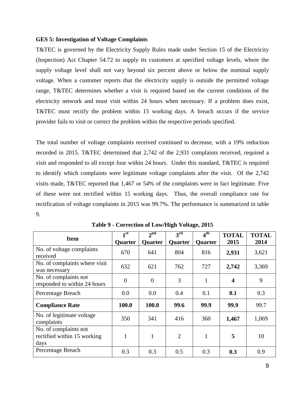#### <span id="page-17-0"></span>**GES 5: Investigation of Voltage Complaints**

T&TEC is governed by the Electricity Supply Rules made under Section 15 of the Electricity (Inspection) Act Chapter 54.72 to supply its customers at specified voltage levels, where the supply voltage level shall not vary beyond six percent above or below the nominal supply voltage. When a customer reports that the electricity supply is outside the permitted voltage range, T&TEC determines whether a visit is required based on the current conditions of the electricity network and must visit within 24 hours when necessary. If a problem does exist, T&TEC must rectify the problem within 15 working days. A breach occurs if the service provider fails to visit or correct the problem within the respective periods specified.

The total number of voltage complaints received continued to decrease, with a 19% reduction recorded in 2015. T&TEC determined that 2,742 of the 2,931 complaints received, required a visit and responded to all except four within 24 hours. Under this standard, T&TEC is required to identify which complaints were legitimate voltage complaints after the visit. Of the 2,742 visits made, T&TEC reported that 1,467 or 54% of the complaints were in fact legitimate. Five of these were not rectified within 15 working days. Thus, the overall compliance rate for rectification of voltage complaints in 2015 was 99.7%. The performance is summarized in table 9.

<span id="page-17-1"></span>

| <b>Item</b>                                                  | 1 <sup>st</sup><br>Quarter | 2 <sup>nd</sup><br><b>Quarter</b> | $3^{\text{rd}}$<br><b>Quarter</b> | $4^{\rm th}$<br><b>Quarter</b> | <b>TOTAL</b><br>2015    | <b>TOTAL</b><br>2014 |
|--------------------------------------------------------------|----------------------------|-----------------------------------|-----------------------------------|--------------------------------|-------------------------|----------------------|
| No. of voltage complaints<br>received                        | 670                        | 641                               | 804                               | 816                            | 2,931                   | 3,621                |
| No. of complaints where visit<br>was necessary               | 632                        | 621                               | 762                               | 727                            | 2,742                   | 3,369                |
| No. of complaints not<br>responded to within 24 hours        | $\boldsymbol{0}$           | $\overline{0}$                    | 3                                 | $\mathbf{1}$                   | $\overline{\mathbf{4}}$ | 9                    |
| Percentage Breach                                            | 0.0                        | 0.0                               | 0.4                               | 0.1                            | 0.1                     | 0.3                  |
| <b>Compliance Rate</b>                                       | 100.0                      | 100.0                             | 99.6                              | 99.9                           | 99.9                    | 99.7                 |
| No. of legitimate voltage<br>complaints                      | 350                        | 341                               | 416                               | 360                            | 1,467                   | 1,069                |
| No. of complaints not<br>rectified within 15 working<br>days | $\mathbf{1}$               | $\mathbf{1}$                      | $\overline{2}$                    | 1                              | 5                       | 10                   |
| Percentage Breach                                            | 0.3                        | 0.3                               | 0.5                               | 0.3                            | 0.3                     | 0.9                  |

**Table 9 - Correction of Low/High Voltage, 2015**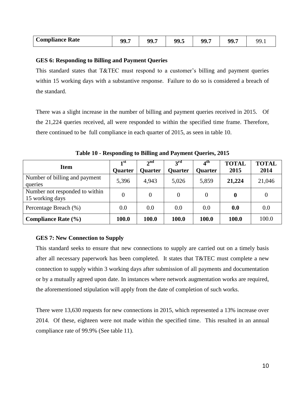| <b>Compliance Rate</b> | 99.7 | $-90-1$<br>,,,, | 99.5 | 99.7 | $\sim 00$<br>$\sim$ . | ۵Q |
|------------------------|------|-----------------|------|------|-----------------------|----|
|------------------------|------|-----------------|------|------|-----------------------|----|

#### <span id="page-18-0"></span>**GES 6: Responding to Billing and Payment Queries**

This standard states that T&TEC must respond to a customer's billing and payment queries within 15 working days with a substantive response. Failure to do so is considered a breach of the standard.

There was a slight increase in the number of billing and payment queries received in 2015. Of the 21,224 queries received, all were responded to within the specified time frame. Therefore, there continued to be full compliance in each quarter of 2015, as seen in table 10.

<span id="page-18-2"></span>

| <b>Item</b>                                       | 1 <sup>st</sup><br><b>Quarter</b> | 2 <sup>nd</sup><br><b>Quarter</b> | $3^{\rm rd}$<br><b>Quarter</b> | 4 <sup>th</sup><br><b>Quarter</b> | <b>TOTAL</b><br>2015 | <b>TOTAL</b><br>2014 |
|---------------------------------------------------|-----------------------------------|-----------------------------------|--------------------------------|-----------------------------------|----------------------|----------------------|
| Number of billing and payment<br>queries          | 5,396                             | 4,943                             | 5,026                          | 5,859                             | 21,224               | 21,046               |
| Number not responded to within<br>15 working days | 0                                 | $\Omega$                          | 0                              | 0                                 | 0                    | 0                    |
| Percentage Breach (%)                             | 0.0                               | 0.0                               | 0.0                            | 0.0                               | 0.0                  | 0.0                  |
| Compliance Rate $(\% )$                           | 100.0                             | 100.0                             | 100.0                          | 100.0                             | 100.0                | 100.0                |

**Table 10 - Responding to Billing and Payment Queries, 2015**

#### <span id="page-18-1"></span>**GES 7: New Connection to Supply**

This standard seeks to ensure that new connections to supply are carried out on a timely basis after all necessary paperwork has been completed. It states that T&TEC must complete a new connection to supply within 3 working days after submission of all payments and documentation or by a mutually agreed upon date. In instances where network augmentation works are required, the aforementioned stipulation will apply from the date of completion of such works.

There were 13,630 requests for new connections in 2015, which represented a 13% increase over 2014. Of these, eighteen were not made within the specified time. This resulted in an annual compliance rate of 99.9% (See table 11).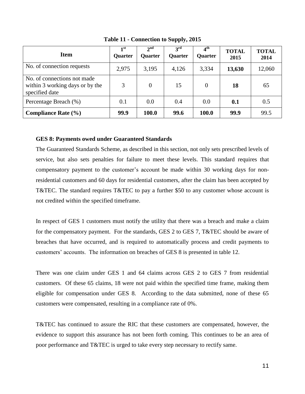<span id="page-19-1"></span>

| <b>Item</b>                                                                      | $\mathbf{1}^{\mathrm{st}}$<br><b>Quarter</b> | $2^{nd}$<br><b>Quarter</b> | 3 <sup>rd</sup><br><b>Ouarter</b> | 4 <sup>th</sup><br><b>Quarter</b> | <b>TOTAL</b><br>2015 | <b>TOTAL</b><br>2014 |
|----------------------------------------------------------------------------------|----------------------------------------------|----------------------------|-----------------------------------|-----------------------------------|----------------------|----------------------|
| No. of connection requests                                                       | 2,975                                        | 3,195                      | 4,126                             | 3,334                             | 13,630               | 12,060               |
| No. of connections not made<br>within 3 working days or by the<br>specified date | 3                                            | $\overline{0}$             | 15                                | $\theta$                          | 18                   | 65                   |
| Percentage Breach (%)                                                            | 0.1                                          | 0.0                        | 0.4                               | 0.0                               | 0.1                  | 0.5                  |
| Compliance Rate $(\% )$                                                          | 99.9                                         | 100.0                      | 99.6                              | 100.0                             | 99.9                 | 99.5                 |

**Table 11 - Connection to Supply, 2015**

#### <span id="page-19-0"></span>**GES 8: Payments owed under Guaranteed Standards**

The Guaranteed Standards Scheme, as described in this section, not only sets prescribed levels of service, but also sets penalties for failure to meet these levels. This standard requires that compensatory payment to the customer's account be made within 30 working days for nonresidential customers and 60 days for residential customers, after the claim has been accepted by T&TEC. The standard requires T&TEC to pay a further \$50 to any customer whose account is not credited within the specified timeframe.

In respect of GES 1 customers must notify the utility that there was a breach and make a claim for the compensatory payment. For the standards, GES 2 to GES 7, T&TEC should be aware of breaches that have occurred, and is required to automatically process and credit payments to customers' accounts. The information on breaches of GES 8 is presented in table 12.

There was one claim under GES 1 and 64 claims across GES 2 to GES 7 from residential customers. Of these 65 claims, 18 were not paid within the specified time frame, making them eligible for compensation under GES 8. According to the data submitted, none of these 65 customers were compensated, resulting in a compliance rate of 0%.

T&TEC has continued to assure the RIC that these customers are compensated, however, the evidence to support this assurance has not been forth coming. This continues to be an area of poor performance and T&TEC is urged to take every step necessary to rectify same.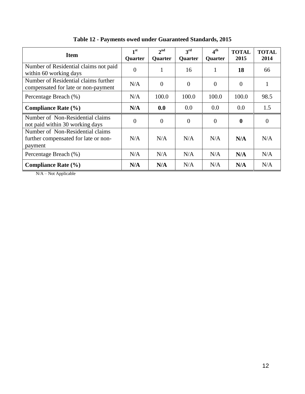<span id="page-20-0"></span>

| <b>Item</b>                                                                         | 1 <sup>st</sup><br>Quarter | $2^{\text{nd}}$<br>Quarter | 3 <sup>rd</sup><br><b>Quarter</b> | 4 <sup>th</sup><br>Quarter | <b>TOTAL</b><br>2015 | <b>TOTAL</b><br>2014 |
|-------------------------------------------------------------------------------------|----------------------------|----------------------------|-----------------------------------|----------------------------|----------------------|----------------------|
| Number of Residential claims not paid<br>within 60 working days                     | $\Omega$                   |                            | 16                                |                            | 18                   | 66                   |
| Number of Residential claims further<br>compensated for late or non-payment         | N/A                        | $\overline{0}$             | $\Omega$                          | $\Omega$                   | $\theta$             |                      |
| Percentage Breach (%)                                                               | N/A                        | 100.0                      | 100.0                             | 100.0                      | 100.0                | 98.5                 |
| <b>Compliance Rate (%)</b>                                                          | N/A                        | 0.0                        | 0.0                               | 0.0                        | 0.0                  | 1.5                  |
| Number of Non-Residential claims<br>not paid within 30 working days                 | $\theta$                   | $\boldsymbol{0}$           | $\theta$                          | $\theta$                   | $\mathbf{0}$         | $\overline{0}$       |
| Number of Non-Residential claims<br>further compensated for late or non-<br>payment | N/A                        | N/A                        | N/A                               | N/A                        | N/A                  | N/A                  |
| Percentage Breach (%)                                                               | N/A                        | N/A                        | N/A                               | N/A                        | N/A                  | N/A                  |
| <b>Compliance Rate (%)</b>                                                          | N/A                        | N/A                        | N/A                               | N/A                        | N/A                  | N/A                  |

**Table 12 - Payments owed under Guaranteed Standards, 2015**

N/A – Not Applicable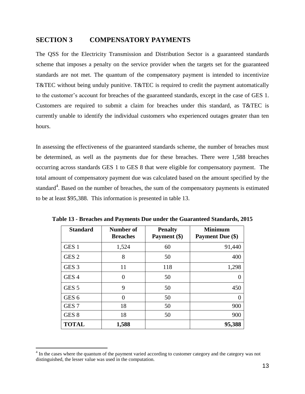# <span id="page-21-0"></span>**SECTION 3 COMPENSATORY PAYMENTS**

The QSS for the Electricity Transmission and Distribution Sector is a guaranteed standards scheme that imposes a penalty on the service provider when the targets set for the guaranteed standards are not met. The quantum of the compensatory payment is intended to incentivize T&TEC without being unduly punitive. T&TEC is required to credit the payment automatically to the customer's account for breaches of the guaranteed standards, except in the case of GES 1. Customers are required to submit a claim for breaches under this standard, as T&TEC is currently unable to identify the individual customers who experienced outages greater than ten hours.

In assessing the effectiveness of the guaranteed standards scheme, the number of breaches must be determined, as well as the payments due for these breaches. There were 1,588 breaches occurring across standards GES 1 to GES 8 that were eligible for compensatory payment. The total amount of compensatory payment due was calculated based on the amount specified by the standard<sup>4</sup>. Based on the number of breaches, the sum of the compensatory payments is estimated to be at least \$95,388. This information is presented in table 13.

| <b>Standard</b>  | Number of<br><b>Breaches</b> | <b>Penalty</b><br>Payment (\$) | <b>Minimum</b><br><b>Payment Due (\$)</b> |
|------------------|------------------------------|--------------------------------|-------------------------------------------|
| GES <sub>1</sub> | 1,524                        | 60                             | 91,440                                    |
| GES <sub>2</sub> | 8                            | 50                             | 400                                       |
| GES <sub>3</sub> | 11                           | 118                            | 1,298                                     |
| GES <sub>4</sub> | 0                            | 50                             |                                           |
| GES <sub>5</sub> | 9                            | 50                             | 450                                       |
| GES <sub>6</sub> | $\Omega$                     | 50                             | 0                                         |
| GES <sub>7</sub> | 18                           | 50                             | 900                                       |
| GES <sub>8</sub> | 18                           | 50                             | 900                                       |
| <b>TOTAL</b>     | 1,588                        |                                | 95,388                                    |

<span id="page-21-1"></span>**Table 13 - Breaches and Payments Due under the Guaranteed Standards, 2015**

 $\overline{a}$ 

<sup>&</sup>lt;sup>4</sup> In the cases where the quantum of the payment varied according to customer category and the category was not distinguished, the lesser value was used in the computation.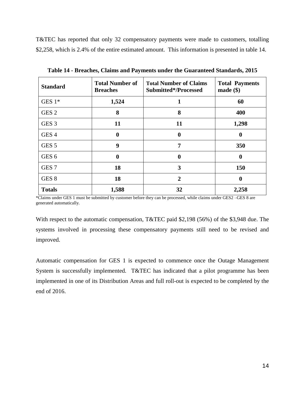T&TEC has reported that only 32 compensatory payments were made to customers, totalling \$2,258, which is 2.4% of the entire estimated amount. This information is presented in table 14.

<span id="page-22-0"></span>

| <b>Standard</b>  | <b>Total Number of</b><br><b>Breaches</b> | <b>Total Number of Claims</b><br>Submitted*/Processed | <b>Total Payments</b><br>$made$ (\; \) |
|------------------|-------------------------------------------|-------------------------------------------------------|----------------------------------------|
| GES $1*$         | 1,524                                     | 1                                                     | 60                                     |
| GES <sub>2</sub> | 8                                         | 8                                                     | 400                                    |
| GES <sub>3</sub> | 11                                        | 11                                                    | 1,298                                  |
| GES <sub>4</sub> | 0                                         | $\bf{0}$                                              | $\bf{0}$                               |
| GES <sub>5</sub> | 9                                         | 7                                                     | 350                                    |
| GES <sub>6</sub> | 0                                         | 0                                                     | $\boldsymbol{0}$                       |
| GES <sub>7</sub> | 18                                        | 3                                                     | 150                                    |
| GES <sub>8</sub> | 18                                        | $\overline{2}$                                        | $\boldsymbol{0}$                       |
| <b>Totals</b>    | 1,588                                     | 32                                                    | 2,258                                  |

**Table 14 - Breaches, Claims and Payments under the Guaranteed Standards, 2015**

\*Claims under GES 1 must be submitted by customer before they can be processed, while claims under GES2 –GES 8 are generated automatically.

With respect to the automatic compensation, T&TEC paid \$2,198 (56%) of the \$3,948 due. The systems involved in processing these compensatory payments still need to be revised and improved.

Automatic compensation for GES 1 is expected to commence once the Outage Management System is successfully implemented. T&TEC has indicated that a pilot programme has been implemented in one of its Distribution Areas and full roll-out is expected to be completed by the end of 2016.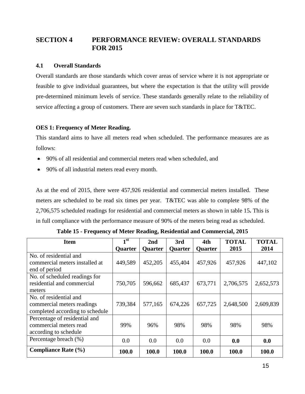# <span id="page-23-0"></span>**SECTION 4 PERFORMANCE REVIEW: OVERALL STANDARDS FOR 2015**

#### <span id="page-23-1"></span>**4.1 Overall Standards**

Overall standards are those standards which cover areas of service where it is not appropriate or feasible to give individual guarantees, but where the expectation is that the utility will provide pre-determined minimum levels of service. These standards generally relate to the reliability of service affecting a group of customers. There are seven such standards in place for T&TEC.

### <span id="page-23-2"></span>**OES 1: Frequency of Meter Reading.**

This standard aims to have all meters read when scheduled. The performance measures are as follows:

- 90% of all residential and commercial meters read when scheduled, and
- 90% of all industrial meters read every month.

As at the end of 2015, there were 457,926 residential and commercial meters installed. These meters are scheduled to be read six times per year. T&TEC was able to complete 98% of the 2,706,575 scheduled readings for residential and commercial meters as shown in table 15**.** This is in full compliance with the performance measure of 90% of the meters being read as scheduled.

<span id="page-23-3"></span>

| <b>Item</b>                     | 1 <sup>st</sup> | 2nd            | 3rd     | 4th            | <b>TOTAL</b> | <b>TOTAL</b> |
|---------------------------------|-----------------|----------------|---------|----------------|--------------|--------------|
|                                 | <b>Quarter</b>  | <b>Quarter</b> | Quarter | <b>Quarter</b> | 2015         | 2014         |
| No. of residential and          |                 |                |         |                |              |              |
| commercial meters installed at  | 449,589         | 452,205        | 455,404 | 457,926        | 457,926      | 447,102      |
| end of period                   |                 |                |         |                |              |              |
| No. of scheduled readings for   |                 |                |         |                |              |              |
| residential and commercial      | 750,705         | 596,662        | 685,437 | 673,771        | 2,706,575    | 2,652,573    |
| meters                          |                 |                |         |                |              |              |
| No. of residential and          |                 |                |         |                |              |              |
| commercial meters readings      | 739,384         | 577,165        | 674,226 | 657,725        | 2,648,500    | 2,609,839    |
| completed according to schedule |                 |                |         |                |              |              |
| Percentage of residential and   |                 |                |         |                |              |              |
| commercial meters read          | 99%             | 96%            | 98%     | 98%            | 98%          | 98%          |
| according to schedule           |                 |                |         |                |              |              |
| Percentage breach (%)           | 0.0             | 0.0            | 0.0     | 0.0            | 0.0          | 0.0          |
| <b>Compliance Rate (%)</b>      | 100.0           | 100.0          | 100.0   | 100.0          | 100.0        | 100.0        |

**Table 15 - Frequency of Meter Reading, Residential and Commercial, 2015**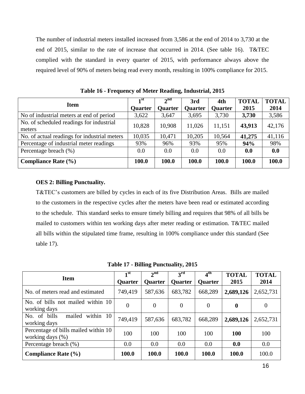The number of industrial meters installed increased from 3,586 at the end of 2014 to 3,730 at the end of 2015, similar to the rate of increase that occurred in 2014. (See table 16). T&TEC complied with the standard in every quarter of 2015, with performance always above the required level of 90% of meters being read every month, resulting in 100% compliance for 2015.

<span id="page-24-1"></span>

|                                              | $\mathbf{1}^{\mathrm{st}}$ | 2 <sup>nd</sup> | 3rd            | 4th            | <b>TOTAL</b> | <b>TOTAL</b> |
|----------------------------------------------|----------------------------|-----------------|----------------|----------------|--------------|--------------|
| <b>Item</b>                                  | <b>Quarter</b>             | <b>Quarter</b>  | <b>Quarter</b> | <b>Quarter</b> | 2015         | 2014         |
| No of industrial meters at end of period     | 3,622                      | 3,647           | 3,695          | 3,730          | 3,730        | 3,586        |
| No. of scheduled readings for industrial     | 10,828                     | 10,908          | 11,026         | 11,151         | 43,913       | 42,176       |
| meters                                       |                            |                 |                |                |              |              |
| No. of actual readings for industrial meters | 10,035                     | 10,471          | 10,205         | 10,564         | 41,275       | 41,116       |
| Percentage of industrial meter readings      | 93%                        | 96%             | 93%            | 95%            | 94%          | 98%          |
| Percentage breach (%)                        | 0.0                        | 0.0             | 0.0            | 0.0            | 0.0          | 0.0          |
| <b>Compliance Rate (%)</b>                   | 100.0                      | 100.0           | 100.0          | 100.0          | 100.0        | 100.0        |

**Table 16 - Frequency of Meter Reading, Industrial, 2015**

### <span id="page-24-0"></span>**OES 2: Billing Punctuality.**

T&TEC's customers are billed by cycles in each of its five Distribution Areas. Bills are mailed to the customers in the respective cycles after the meters have been read or estimated according to the schedule. This standard seeks to ensure timely billing and requires that 98% of all bills be mailed to customers within ten working days after meter reading or estimation. T&TEC mailed all bills within the stipulated time frame, resulting in 100% compliance under this standard (See table 17).

**Table 17 - Billing Punctuality, 2015**

<span id="page-24-2"></span>

| <b>Item</b>                                                 | 1 <sup>st</sup><br><b>Quarter</b> | 2 <sup>nd</sup><br><b>Quarter</b> | $3^{\rm rd}$<br><b>Quarter</b> | $\mathbf{A}^{\text{th}}$<br><b>Quarter</b> | <b>TOTAL</b><br>2015 | <b>TOTAL</b><br>2014 |
|-------------------------------------------------------------|-----------------------------------|-----------------------------------|--------------------------------|--------------------------------------------|----------------------|----------------------|
| No. of meters read and estimated                            | 749,419                           | 587,636                           | 683,782                        | 668,289                                    | 2,689,126            | 2,652,731            |
| No. of bills not mailed within 10<br>working days           | $\overline{0}$                    | 0                                 | $\overline{0}$                 | $\Omega$                                   | $\mathbf 0$          | $\theta$             |
| No. of bills<br>within 10<br>mailed<br>working days         | 749,419                           | 587,636                           | 683,782                        | 668,289                                    | 2,689,126            | 2,652,731            |
| Percentage of bills mailed within 10<br>working days $(\%)$ | 100                               | 100                               | 100                            | 100                                        | <b>100</b>           | 100                  |
| Percentage breach (%)                                       | 0.0                               | 0.0                               | 0.0                            | 0.0                                        | 0.0                  | 0.0                  |
| Compliance Rate $(\% )$                                     | 100.0                             | 100.0                             | 100.0                          | 100.0                                      | 100.0                | 100.0                |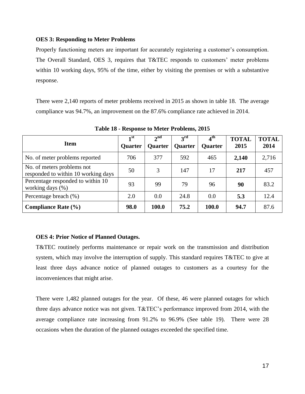#### <span id="page-25-0"></span>**OES 3: Responding to Meter Problems**

Properly functioning meters are important for accurately registering a customer's consumption. The Overall Standard, OES 3, requires that T&TEC responds to customers' meter problems within 10 working days, 95% of the time, either by visiting the premises or with a substantive response.

There were 2,140 reports of meter problems received in 2015 as shown in table 18. The average compliance was 94.7%, an improvement on the 87.6% compliance rate achieved in 2014.

<span id="page-25-2"></span>

| <b>Item</b>                                                       | 1 <sup>st</sup><br><b>Quarter</b> | $2^{\text{nd}}$<br><b>Quarter</b> | $2^{\text{rd}}$<br><b>Quarter</b> | 4 <sup>th</sup><br><b>Quarter</b> | <b>TOTAL</b><br>2015 | <b>TOTAL</b><br>2014 |
|-------------------------------------------------------------------|-----------------------------------|-----------------------------------|-----------------------------------|-----------------------------------|----------------------|----------------------|
| No. of meter problems reported                                    | 706                               | 377                               | 592                               | 465                               | 2,140                | 2,716                |
| No. of meters problems not<br>responded to within 10 working days | 50                                | 3                                 | 147                               | 17                                | 217                  | 457                  |
| Percentage responded to within 10<br>working days (%)             | 93                                | 99                                | 79                                | 96                                | 90                   | 83.2                 |
| Percentage breach (%)                                             | 2.0                               | 0.0                               | 24.8                              | 0.0                               | 5.3                  | 12.4                 |
| Compliance Rate $(\% )$                                           | 98.0                              | 100.0                             | 75.2                              | 100.0                             | 94.7                 | 87.6                 |

**Table 18 - Response to Meter Problems, 2015**

## <span id="page-25-1"></span>**OES 4: Prior Notice of Planned Outages.**

T&TEC routinely performs maintenance or repair work on the transmission and distribution system, which may involve the interruption of supply. This standard requires T&TEC to give at least three days advance notice of planned outages to customers as a courtesy for the inconveniences that might arise.

There were 1,482 planned outages for the year. Of these, 46 were planned outages for which three days advance notice was not given. T&TEC's performance improved from 2014, with the average compliance rate increasing from 91.2% to 96.9% (See table 19). There were 28 occasions when the duration of the planned outages exceeded the specified time.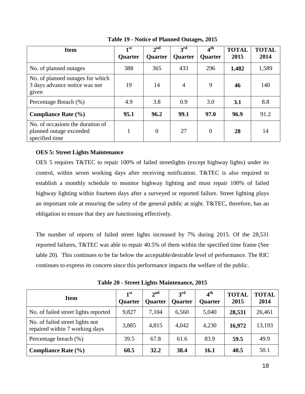<span id="page-26-1"></span>

| <b>Item</b>                                                                   | 1 <sup>st</sup><br><b>Quarter</b> | 2 <sup>nd</sup><br><b>Quarter</b> | $3^{\text{rd}}$<br><b>Quarter</b> | $\overline{4}^{\text{th}}$<br><b>Quarter</b> | <b>TOTAL</b><br>2015 | <b>TOTAL</b><br>2014 |
|-------------------------------------------------------------------------------|-----------------------------------|-----------------------------------|-----------------------------------|----------------------------------------------|----------------------|----------------------|
| No. of planned outages                                                        | 388                               | 365                               | 433                               | 296                                          | 1,482                | 1,589                |
| No. of planned outages for which<br>3 days advance notice was not<br>given    | 19                                | 14                                | $\overline{4}$                    | 9                                            | 46                   | 140                  |
| Percentage Breach (%)                                                         | 4.9                               | 3.8                               | 0.9                               | 3.0                                          | 3.1                  | 8.8                  |
| Compliance Rate $(\% )$                                                       | 95.1                              | 96.2                              | 99.1                              | 97.0                                         | 96.9                 | 91.2                 |
| No. of occasions the duration of<br>planned outage exceeded<br>specified time |                                   | $\overline{0}$                    | 27                                | $\theta$                                     | 28                   | 14                   |

**Table 19 - Notice of Planned Outages, 2015**

### <span id="page-26-0"></span>**OES 5: Street Lights Maintenance**

OES 5 requires T&TEC to repair 100% of failed streetlights (except highway lights) under its control, within seven working days after receiving notification. T&TEC is also required to establish a monthly schedule to monitor highway lighting and must repair 100% of failed highway lighting within fourteen days after a surveyed or reported failure. Street lighting plays an important role at ensuring the safety of the general public at night. T&TEC, therefore, has an obligation to ensure that they are functioning effectively.

The number of reports of failed street lights increased by 7% during 2015. Of the 28,531 reported failures, T&TEC was able to repair 40.5% of them within the specified time frame (See table 20). This continues to be far below the acceptable/desirable level of performance. The RIC continues to express its concern since this performance impacts the welfare of the public.

**Table 20 - Street Lights Maintenance, 2015**

<span id="page-26-2"></span>

| <b>Item</b>                                                       | 1 <sup>st</sup><br><b>Quarter</b> | $2^{\text{nd}}$<br><b>Quarter</b> | $3^{\rm rd}$<br><b>Quarter</b> | 4 <sup>th</sup><br><b>Quarter</b> | <b>TOTAL</b><br>2015 | <b>TOTAL</b><br>2014 |
|-------------------------------------------------------------------|-----------------------------------|-----------------------------------|--------------------------------|-----------------------------------|----------------------|----------------------|
| No. of failed street lights reported                              | 9,827                             | 7,104                             | 6,560                          | 5,040                             | 28,531               | 26,461               |
| No. of failed street lights not<br>repaired within 7 working days | 3,885                             | 4,815                             | 4,042                          | 4,230                             | 16,972               | 13,193               |
| Percentage breach (%)                                             | 39.5                              | 67.8                              | 61.6                           | 83.9                              | 59.5                 | 49.9                 |
| <b>Compliance Rate (%)</b>                                        | 60.5                              | 32.2                              | 38.4                           | 16.1                              | 40.5                 | 50.1                 |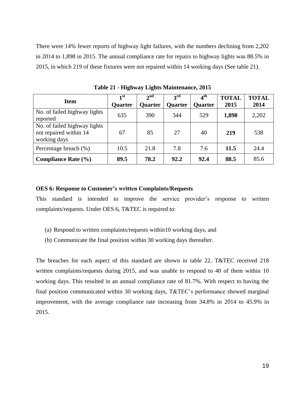There were 14% fewer reports of highway light failures, with the numbers declining from 2,202 in 2014 to 1,898 in 2015. The annual compliance rate for repairs to highway lights was 88.5% in 2015, in which 219 of these fixtures were not repaired within 14 working days (See table 21).

<span id="page-27-1"></span>

| <b>Item</b>                                                            | $\mathbf{1}^{\mathrm{st}}$<br><b>Quarter</b> | $2^{\text{nd}}$<br><b>Quarter</b> | $2^{\text{rd}}$<br><b>Quarter</b> | $4^{\rm th}$<br><b>Quarter</b> | <b>TOTAL</b><br>2015 | <b>TOTAL</b><br>2014 |
|------------------------------------------------------------------------|----------------------------------------------|-----------------------------------|-----------------------------------|--------------------------------|----------------------|----------------------|
| No. of failed highway lights<br>reported                               | 635                                          | 390                               | 344                               | 529                            | 1,898                | 2,202                |
| No. of failed highway lights<br>not repaired within 14<br>working days | 67                                           | 85                                | 27                                | 40                             | 219                  | 538                  |
| Percentage breach (%)                                                  | 10.5                                         | 21.8                              | 7.8                               | 7.6                            | 11.5                 | 24.4                 |
| <b>Compliance Rate (%)</b>                                             | 89.5                                         | 78.2                              | 92.2                              | 92.4                           | 88.5                 | 85.6                 |

**Table 21 - Highway Lights Maintenance, 2015**

#### <span id="page-27-0"></span>**OES 6: Response to Customer's written Complaints/Requests**

This standard is intended to improve the service provider's response to written complaints/requests. Under OES 6, T&TEC is required to:

- (a) Respond to written complaints/requests within10 working days, and
- (b) Communicate the final position within 30 working days thereafter.

The breaches for each aspect of this standard are shown in table 22. T&TEC received 218 written complaints/requests during 2015, and was unable to respond to 40 of them within 10 working days. This resulted in an annual compliance rate of 81.7%. With respect to having the final position communicated within 30 working days, T&TEC's performance showed marginal improvement, with the average compliance rate increasing from 34.8% in 2014 to 45.9% in 2015.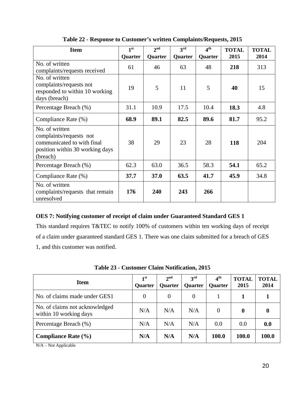<span id="page-28-2"></span>

| <b>Item</b>                                                                                                            | 1 <sup>st</sup> | 2 <sup>nd</sup> | 3 <sup>rd</sup> | 4 <sup>th</sup> | <b>TOTAL</b> | <b>TOTAL</b> |
|------------------------------------------------------------------------------------------------------------------------|-----------------|-----------------|-----------------|-----------------|--------------|--------------|
|                                                                                                                        | Quarter         | Quarter         | Quarter         | Quarter         | 2015         | 2014         |
| No. of written<br>complaints/requests received                                                                         | 61              | 46              | 63              | 48              | 218          | 313          |
| No. of written<br>complaints/requests not<br>responded to within 10 working<br>days (breach)                           | 19              | 5               | 11              | 5               | 40           | 15           |
| Percentage Breach (%)                                                                                                  | 31.1            | 10.9            | 17.5            | 10.4            | 18.3         | 4.8          |
| Compliance Rate (%)                                                                                                    | 68.9            | 89.1            | 82.5            | 89.6            | 81.7         | 95.2         |
| No. of written<br>complaints/requests not<br>communicated to with final<br>position within 30 working days<br>(breach) | 38              | 29              | 23              | 28              | 118          | 204          |
| Percentage Breach (%)                                                                                                  | 62.3            | 63.0            | 36.5            | 58.3            | 54.1         | 65.2         |
| Compliance Rate (%)                                                                                                    | 37.7            | 37.0            | 63.5            | 41.7            | 45.9         | 34.8         |
| No. of written<br>complaints/requests that remain<br>unresolved                                                        | 176             | 240             | 243             | 266             |              |              |

**Table 22 - Response to Customer's written Complaints/Requests, 2015**

# <span id="page-28-0"></span>**OES 7: Notifying customer of receipt of claim under Guaranteed Standard GES 1**

This standard requires T&TEC to notify 100% of customers within ten working days of receipt of a claim under guaranteed standard GES 1. There was one claim submitted for a breach of GES 1, and this customer was notified.

<span id="page-28-3"></span>

| <b>Item</b>                                              | 1 <sup>st</sup><br><b>Quarter</b> | 2 <sup>nd</sup><br><b>Quarter</b> | 3 <sup>rd</sup><br><b>Quarter</b> | 4 <sup>th</sup><br><b>Quarter</b> | <b>TOTAL</b><br>2015 | <b>TOTAL</b><br>2014 |
|----------------------------------------------------------|-----------------------------------|-----------------------------------|-----------------------------------|-----------------------------------|----------------------|----------------------|
| No. of claims made under GES1                            | 0                                 | $\theta$                          | $\overline{0}$                    |                                   |                      |                      |
| No. of claims not acknowledged<br>within 10 working days | N/A                               | N/A                               | N/A                               | $\Omega$                          | $\bf{0}$             | 0                    |
| Percentage Breach (%)                                    | N/A                               | N/A                               | N/A                               | 0.0                               | 0.0                  | 0.0                  |
| Compliance Rate $(\% )$                                  | N/A                               | N/A                               | N/A                               | 100.0                             | 100.0                | 100.0                |

**Table 23 - Customer Claim Notification, 2015**

<span id="page-28-1"></span>N/A – Not Applicable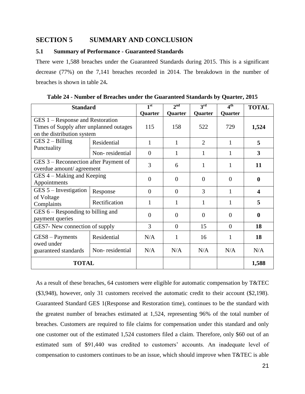## <span id="page-29-0"></span>**SECTION 5 SUMMARY AND CONCLUSION**

#### <span id="page-29-1"></span>**5.1 Summary of Performance - Guaranteed Standards**

There were 1,588 breaches under the Guaranteed Standards during 2015. This is a significant decrease (77%) on the 7,141 breaches recorded in 2014. The breakdown in the number of breaches is shown in table 24**.**

<span id="page-29-2"></span>

| <b>Standard</b>                                                                                           |                 | 1 <sup>st</sup> | 2 <sub>nd</sub> | 3 <sup>rd</sup> | 4 <sup>th</sup> | <b>TOTAL</b>     |
|-----------------------------------------------------------------------------------------------------------|-----------------|-----------------|-----------------|-----------------|-----------------|------------------|
|                                                                                                           |                 | Quarter         | Quarter         | Quarter         | Quarter         |                  |
| GES 1 – Response and Restoration<br>Times of Supply after unplanned outages<br>on the distribution system | 115             | 158             | 522             | 729             | 1,524           |                  |
| $GES 2 - Billing$                                                                                         | Residential     | 1               | 1               | $\overline{2}$  | 1               | 5                |
| Punctuality                                                                                               | Non-residential | $\overline{0}$  | 1               | 1               | 1               | 3                |
| GES 3 – Reconnection after Payment of<br>overdue amount/ agreement                                        |                 | 3               | 6               | 1               | 1               | 11               |
| GES 4 – Making and Keeping<br>Appointments                                                                |                 | $\theta$        | $\Omega$        | $\theta$        | $\Omega$        | 0                |
| $GES 5$ – Investigation                                                                                   | Response        | $\theta$        | $\Omega$        | 3               | 1               | $\boldsymbol{4}$ |
| of Voltage<br>Complaints                                                                                  | Rectification   | 1               |                 | 1               |                 | 5                |
| $GES 6 - Responding to billing and$<br>payment queries                                                    |                 | $\overline{0}$  | $\Omega$        | $\Omega$        | $\theta$        | 0                |
| GES7- New connection of supply                                                                            |                 | 3               | $\Omega$        | 15              | $\Omega$        | 18               |
| $GES8 - Payments$<br>owed under                                                                           | Residential     | N/A             | 1               | 16              | 1               | 18               |
| guaranteed standards                                                                                      | Non-residential | N/A             | N/A             | N/A             | N/A             | N/A              |
| <b>TOTAL</b>                                                                                              |                 |                 |                 |                 |                 | 1,588            |

**Table 24 - Number of Breaches under the Guaranteed Standards by Quarter, 2015**

As a result of these breaches, 64 customers were eligible for automatic compensation by T&TEC (\$3,948), however, only 31 customers received the automatic credit to their account (\$2,198). Guaranteed Standard GES 1(Response and Restoration time), continues to be the standard with the greatest number of breaches estimated at 1,524, representing 96% of the total number of breaches. Customers are required to file claims for compensation under this standard and only one customer out of the estimated 1,524 customers filed a claim. Therefore, only \$60 out of an estimated sum of \$91,440 was credited to customers' accounts. An inadequate level of compensation to customers continues to be an issue, which should improve when T&TEC is able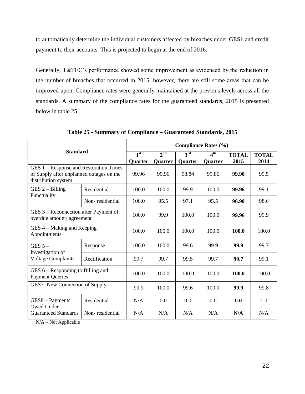to automatically determine the individual customers affected by breaches under GES1 and credit payment to their accounts. This is projected to begin at the end of 2016.

Generally, T&TEC's performance showed some improvement as evidenced by the reduction in the number of breaches that occurred in 2015, however, there are still some areas that can be improved upon. Compliance rates were generally maintained at the previous levels across all the standards. A summary of the compliance rates for the guaranteed standards, 2015 is presented below in table 25.

<span id="page-30-0"></span>

|                                                                                                           |                 | <b>Compliance Rates (%)</b> |                            |                                   |                            |                      |                      |  |  |
|-----------------------------------------------------------------------------------------------------------|-----------------|-----------------------------|----------------------------|-----------------------------------|----------------------------|----------------------|----------------------|--|--|
| <b>Standard</b>                                                                                           |                 | 1 <sup>st</sup><br>Quarter  | 2 <sup>nd</sup><br>Quarter | 3 <sup>rd</sup><br><b>Quarter</b> | 4 <sup>th</sup><br>Quarter | <b>TOTAL</b><br>2015 | <b>TOTAL</b><br>2014 |  |  |
| GES 1 – Response and Restoration Times<br>of Supply after unplanned outages on the<br>distribution system |                 | 99.96                       | 99.96                      | 98.84                             | 99.86                      | 99.90                | 99.5                 |  |  |
| $GES 2 - Billing$<br>Punctuality                                                                          | Residential     | 100.0                       | 100.0                      | 99.9                              | 100.0                      | 99.96                | 99.1                 |  |  |
|                                                                                                           | Non-residential | 100.0                       | 95.5                       | 97.1                              | 95.5                       | 96.90                | 98.6                 |  |  |
| GES 3 - Reconnection after Payment of<br>overdue amount/ agreement                                        |                 | 100.0                       | 99.9                       | 100.0                             | 100.0                      | 99.96                | 99.9                 |  |  |
| GES 4 – Making and Keeping<br>Appointments                                                                |                 | 100.0                       | 100.0                      | 100.0                             | 100.0                      | 100.0                | 100.0                |  |  |
| GES $5-$                                                                                                  | Response        | 100.0                       | 100.0                      | 99.6                              | 99.9                       | 99.9                 | 99.7                 |  |  |
| Investigation of<br><b>Voltage Complaints</b>                                                             | Rectification   | 99.7                        | 99.7                       | 99.5                              | 99.7                       | 99.7                 | 99.1                 |  |  |
| $GES_6 -$ Responding to Billing and<br><b>Payment Queries</b>                                             |                 | 100.0                       | 100.0                      | 100.0                             | 100.0                      | 100.0                | 100.0                |  |  |
| GES7- New Connection of Supply                                                                            |                 | 99.9                        | 100.0                      | 99.6                              | 100.0                      | 99.9                 | 99.8                 |  |  |
| $GES8 - Payments$<br>Owed Under                                                                           | Residential     | N/A                         | 0.0                        | 0.0                               | 0.0                        | 0.0                  | 1.0                  |  |  |
| <b>Guaranteed Standards</b>                                                                               | Non-residential | N/A                         | N/A                        | N/A                               | N/A                        | N/A                  | N/A                  |  |  |

**Table 25 - Summary of Compliance – Guaranteed Standards, 2015**

N/A – Not Applicable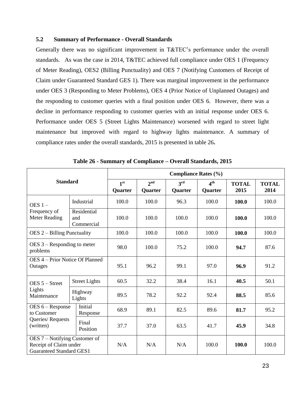### <span id="page-31-0"></span>**5.2 Summary of Performance - Overall Standards**

Generally there was no significant improvement in T&TEC's performance under the overall standards. As was the case in 2014, T&TEC achieved full compliance under OES 1 (Frequency of Meter Reading), OES2 (Billing Punctuality) and OES 7 (Notifying Customers of Receipt of Claim under Guaranteed Standard GES 1). There was marginal improvement in the performance under OES 3 (Responding to Meter Problems), OES 4 (Prior Notice of Unplanned Outages) and the responding to customer queries with a final position under OES 6. However, there was a decline in performance responding to customer queries with an initial response under OES 6. Performance under OES 5 (Street Lights Maintenance) worsened with regard to street light maintenance but improved with regard to highway lights maintenance. A summary of compliance rates under the overall standards, 2015 is presented in table 26**.**

<span id="page-31-1"></span>

|                                                                                            |                                  |                                   | <b>Compliance Rates (%)</b>       |                                   |                                   |                      |                      |  |  |  |
|--------------------------------------------------------------------------------------------|----------------------------------|-----------------------------------|-----------------------------------|-----------------------------------|-----------------------------------|----------------------|----------------------|--|--|--|
| <b>Standard</b>                                                                            |                                  | 1 <sup>st</sup><br><b>Quarter</b> | 2 <sup>nd</sup><br><b>Quarter</b> | 3 <sup>rd</sup><br><b>Quarter</b> | 4 <sup>th</sup><br><b>Quarter</b> | <b>TOTAL</b><br>2015 | <b>TOTAL</b><br>2014 |  |  |  |
| OES $1 -$                                                                                  | Industrial                       | 100.0                             | 100.0                             | 96.3                              | 100.0                             | 100.0                | 100.0                |  |  |  |
| Frequency of<br><b>Meter Reading</b>                                                       | Residential<br>and<br>Commercial | 100.0                             | 100.0                             | 100.0                             | 100.0                             | 100.0                | 100.0                |  |  |  |
| $DES 2 - Billing Punctuality$                                                              |                                  | 100.0                             | 100.0                             | 100.0                             | 100.0                             | 100.0                | 100.0                |  |  |  |
| $OES_3$ – Responding to meter<br>problems                                                  |                                  | 98.0                              | 100.0                             | 75.2                              | 100.0                             | 94.7                 | 87.6                 |  |  |  |
| OES 4 - Prior Notice Of Planned<br>Outages                                                 |                                  | 95.1                              | 96.2                              | 99.1                              | 97.0                              | 96.9                 | 91.2                 |  |  |  |
| $DES 5 - Street$                                                                           | <b>Street Lights</b>             | 60.5                              | 32.2                              | 38.4                              | 16.1                              | 40.5                 | 50.1                 |  |  |  |
| Lights<br>Maintenance                                                                      | Highway<br>Lights                | 89.5                              | 78.2                              | 92.2                              | 92.4                              | 88.5                 | 85.6                 |  |  |  |
| OES 6 – Response<br>to Customer                                                            | Initial<br>Response              | 68.9                              | 89.1                              | 82.5                              | 89.6                              | 81.7                 | 95.2                 |  |  |  |
| Queries/Requests<br>(written)                                                              | Final<br>Position                | 37.7                              | 37.0                              | 63.5                              | 41.7                              | 45.9                 | 34.8                 |  |  |  |
| OES 7 – Notifying Customer of<br>Receipt of Claim under<br><b>Guaranteed Standard GES1</b> |                                  | N/A                               | N/A                               | N/A                               | 100.0                             | 100.0                | 100.0                |  |  |  |

**Table 26 - Summary of Compliance – Overall Standards, 2015**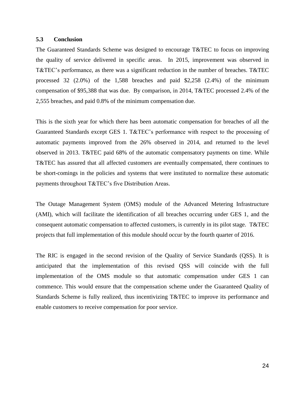#### <span id="page-32-0"></span>**5.3 Conclusion**

The Guaranteed Standards Scheme was designed to encourage T&TEC to focus on improving the quality of service delivered in specific areas. In 2015, improvement was observed in T&TEC's performance, as there was a significant reduction in the number of breaches. T&TEC processed 32 (2.0%) of the 1,588 breaches and paid \$2,258 (2.4%) of the minimum compensation of \$95,388 that was due. By comparison, in 2014, T&TEC processed 2.4% of the 2,555 breaches, and paid 0.8% of the minimum compensation due.

This is the sixth year for which there has been automatic compensation for breaches of all the Guaranteed Standards except GES 1. T&TEC's performance with respect to the processing of automatic payments improved from the 26% observed in 2014, and returned to the level observed in 2013. T&TEC paid 68% of the automatic compensatory payments on time. While T&TEC has assured that all affected customers are eventually compensated, there continues to be short-comings in the policies and systems that were instituted to normalize these automatic payments throughout T&TEC's five Distribution Areas.

The Outage Management System (OMS) module of the Advanced Metering Infrastructure (AMI), which will facilitate the identification of all breaches occurring under GES 1, and the consequent automatic compensation to affected customers, is currently in its pilot stage. T&TEC projects that full implementation of this module should occur by the fourth quarter of 2016.

The RIC is engaged in the second revision of the Quality of Service Standards (QSS). It is anticipated that the implementation of this revised QSS will coincide with the full implementation of the OMS module so that automatic compensation under GES 1 can commence. This would ensure that the compensation scheme under the Guaranteed Quality of Standards Scheme is fully realized, thus incentivizing T&TEC to improve its performance and enable customers to receive compensation for poor service.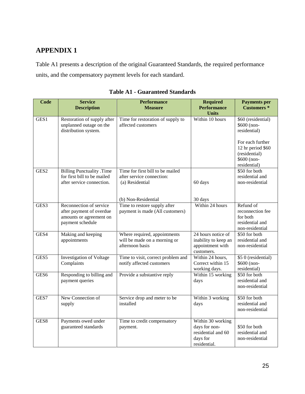# <span id="page-33-0"></span>**APPENDIX 1**

Table A1 presents a description of the original Guaranteed Standards, the required performance units, and the compensatory payment levels for each standard.

<span id="page-33-1"></span>

| <b>Code</b>      | <b>Service</b><br><b>Description</b>                                                               | <b>Performance</b><br><b>Measure</b>                                                   | <b>Required</b><br><b>Performance</b><br><b>Units</b>                                | <b>Payments per</b><br><b>Customers</b> *                                                                                                  |
|------------------|----------------------------------------------------------------------------------------------------|----------------------------------------------------------------------------------------|--------------------------------------------------------------------------------------|--------------------------------------------------------------------------------------------------------------------------------------------|
| GES <sub>1</sub> | Restoration of supply after<br>unplanned outage on the<br>distribution system.                     | Time for restoration of supply to<br>affected customers                                | Within 10 hours                                                                      | \$60 (residential)<br>\$600 (non-<br>residential)<br>For each further<br>12 hr period \$60<br>(residential)<br>\$600 (non-<br>residential) |
| GES <sub>2</sub> | <b>Billing Punctuality .Time</b><br>for first bill to be mailed<br>after service connection.       | Time for first bill to be mailed<br>after service connection:<br>(a) Residential       | 60 days                                                                              | \$50 for both<br>residential and<br>non-residential                                                                                        |
| GES <sub>3</sub> | Reconnection of service<br>after payment of overdue<br>amounts or agreement on<br>payment schedule | (b) Non-Residential<br>Time to restore supply after<br>payment is made (All customers) | 30 days<br>Within 24 hours                                                           | Refund of<br>reconnection fee<br>for both<br>residential and<br>non-residential                                                            |
| GES4             | Making and keeping<br>appointments                                                                 | Where required, appointments<br>will be made on a morning or<br>afternoon basis        | 24 hours notice of<br>inability to keep an<br>appointment with<br>customers.         | \$50 for both<br>residential and<br>non-residential                                                                                        |
| GES5             | <b>Investigation of Voltage</b><br>Complaints                                                      | Time to visit, correct problem and<br>notify affected customers                        | Within 24 hours,<br>Correct within 15<br>working days.                               | \$5 0 (residential)<br>\$600 (non-<br>residential)                                                                                         |
| GES <sub>6</sub> | Responding to billing and<br>payment queries                                                       | Provide a substantive reply                                                            | Within 15 working<br>days                                                            | \$50 for both<br>residential and<br>non-residential                                                                                        |
| GES7             | New Connection of<br>supply                                                                        | Service drop and meter to be<br>installed                                              | Within 3 working<br>days                                                             | \$50 for both<br>residential and<br>non-residential                                                                                        |
| GES8             | Payments owed under<br>guaranteed standards                                                        | Time to credit compensatory<br>payment.                                                | Within 30 working<br>days for non-<br>residential and 60<br>days for<br>residential. | \$50 for both<br>residential and<br>non-residential                                                                                        |

**Table A1 - Guaranteed Standards**